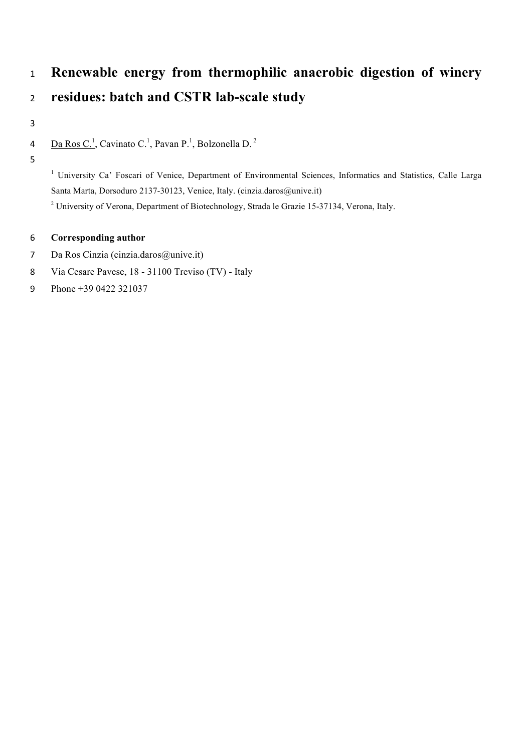# **Renewable energy from thermophilic anaerobic digestion of winery residues: batch and CSTR lab-scale study**

4 Da Ros C.<sup>1</sup>, Cavinato C.<sup>1</sup>, Pavan P.<sup>1</sup>, Bolzonella D.<sup>2</sup>

<sup>1</sup> University Ca' Foscari of Venice, Department of Environmental Sciences, Informatics and Statistics, Calle Larga Santa Marta, Dorsoduro 2137-30123, Venice, Italy. (cinzia.daros@unive.it)

University of Verona, Department of Biotechnology, Strada le Grazie 15-37134, Verona, Italy.

# **Corresponding author**

- Da Ros Cinzia (cinzia.daros@unive.it)
- Via Cesare Pavese, 18 31100 Treviso (TV) Italy
- Phone +39 0422 321037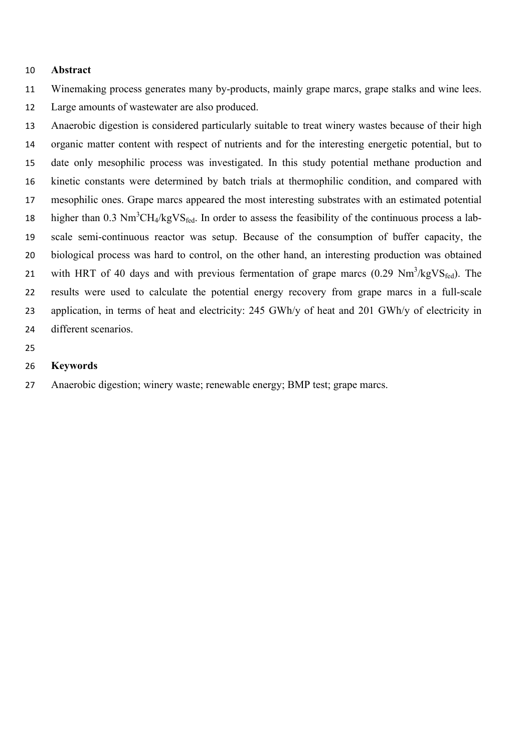#### **Abstract**

Winemaking process generates many by-products, mainly grape marcs, grape stalks and wine lees.

Large amounts of wastewater are also produced.

 Anaerobic digestion is considered particularly suitable to treat winery wastes because of their high organic matter content with respect of nutrients and for the interesting energetic potential, but to date only mesophilic process was investigated. In this study potential methane production and kinetic constants were determined by batch trials at thermophilic condition, and compared with mesophilic ones. Grape marcs appeared the most interesting substrates with an estimated potential higher than 0.3  $Nm^3CH_4/kgVS_{fed}$ . In order to assess the feasibility of the continuous process a lab- scale semi-continuous reactor was setup. Because of the consumption of buffer capacity, the biological process was hard to control, on the other hand, an interesting production was obtained 21 with HRT of 40 days and with previous fermentation of grape marcs  $(0.29 \text{ Nm}^3/\text{kgVS}_{\text{fed}})$ . The results were used to calculate the potential energy recovery from grape marcs in a full-scale application, in terms of heat and electricity: 245 GWh/y of heat and 201 GWh/y of electricity in different scenarios.

# **Keywords**

Anaerobic digestion; winery waste; renewable energy; BMP test; grape marcs.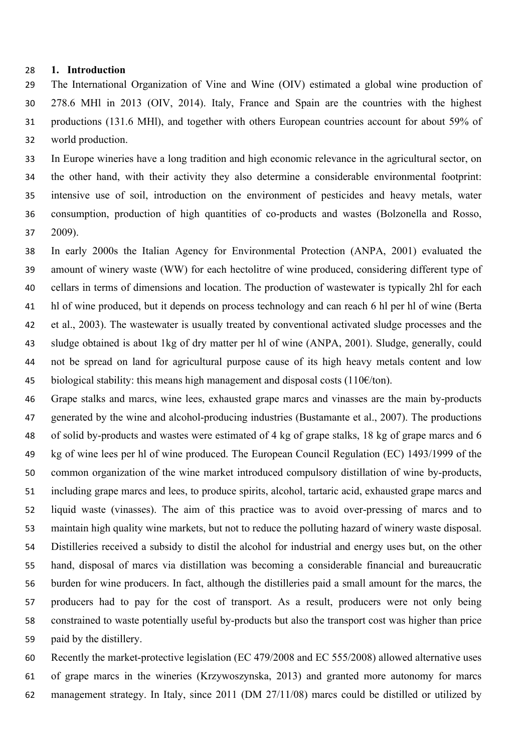### **1. Introduction**

 The International Organization of Vine and Wine (OIV) estimated a global wine production of 278.6 MHl in 2013 (OIV, 2014). Italy, France and Spain are the countries with the highest productions (131.6 MHl), and together with others European countries account for about 59% of world production.

 In Europe wineries have a long tradition and high economic relevance in the agricultural sector, on the other hand, with their activity they also determine a considerable environmental footprint: intensive use of soil, introduction on the environment of pesticides and heavy metals, water consumption, production of high quantities of co-products and wastes (Bolzonella and Rosso, 2009).

 In early 2000s the Italian Agency for Environmental Protection (ANPA, 2001) evaluated the amount of winery waste (WW) for each hectolitre of wine produced, considering different type of cellars in terms of dimensions and location. The production of wastewater is typically 2hl for each hl of wine produced, but it depends on process technology and can reach 6 hl per hl of wine (Berta et al., 2003). The wastewater is usually treated by conventional activated sludge processes and the sludge obtained is about 1kg of dry matter per hl of wine (ANPA, 2001). Sludge, generally, could not be spread on land for agricultural purpose cause of its high heavy metals content and low 45 biological stability: this means high management and disposal costs  $(110 \epsilon/ton)$ .

 Grape stalks and marcs, wine lees, exhausted grape marcs and vinasses are the main by-products generated by the wine and alcohol-producing industries (Bustamante et al., 2007). The productions of solid by-products and wastes were estimated of 4 kg of grape stalks, 18 kg of grape marcs and 6 kg of wine lees per hl of wine produced. The European Council Regulation (EC) 1493/1999 of the common organization of the wine market introduced compulsory distillation of wine by-products, including grape marcs and lees, to produce spirits, alcohol, tartaric acid, exhausted grape marcs and liquid waste (vinasses). The aim of this practice was to avoid over-pressing of marcs and to maintain high quality wine markets, but not to reduce the polluting hazard of winery waste disposal. Distilleries received a subsidy to distil the alcohol for industrial and energy uses but, on the other hand, disposal of marcs via distillation was becoming a considerable financial and bureaucratic burden for wine producers. In fact, although the distilleries paid a small amount for the marcs, the producers had to pay for the cost of transport. As a result, producers were not only being constrained to waste potentially useful by-products but also the transport cost was higher than price paid by the distillery.

 Recently the market-protective legislation (EC 479/2008 and EC 555/2008) allowed alternative uses of grape marcs in the wineries (Krzywoszynska, 2013) and granted more autonomy for marcs management strategy. In Italy, since 2011 (DM 27/11/08) marcs could be distilled or utilized by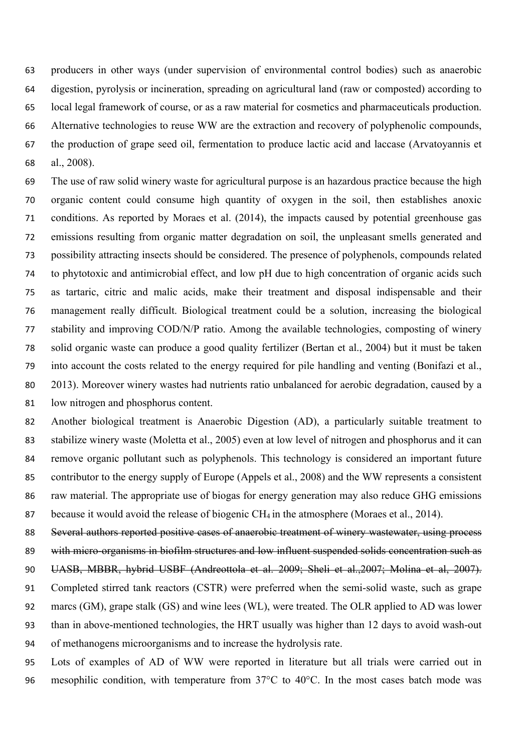producers in other ways (under supervision of environmental control bodies) such as anaerobic digestion, pyrolysis or incineration, spreading on agricultural land (raw or composted) according to local legal framework of course, or as a raw material for cosmetics and pharmaceuticals production. Alternative technologies to reuse WW are the extraction and recovery of polyphenolic compounds, the production of grape seed oil, fermentation to produce lactic acid and laccase (Arvatoyannis et al., 2008).

 The use of raw solid winery waste for agricultural purpose is an hazardous practice because the high organic content could consume high quantity of oxygen in the soil, then establishes anoxic conditions. As reported by Moraes et al. (2014), the impacts caused by potential greenhouse gas emissions resulting from organic matter degradation on soil, the unpleasant smells generated and possibility attracting insects should be considered. The presence of polyphenols, compounds related to phytotoxic and antimicrobial effect, and low pH due to high concentration of organic acids such as tartaric, citric and malic acids, make their treatment and disposal indispensable and their management really difficult. Biological treatment could be a solution, increasing the biological stability and improving COD/N/P ratio. Among the available technologies, composting of winery solid organic waste can produce a good quality fertilizer (Bertan et al., 2004) but it must be taken into account the costs related to the energy required for pile handling and venting (Bonifazi et al., 2013). Moreover winery wastes had nutrients ratio unbalanced for aerobic degradation, caused by a low nitrogen and phosphorus content.

 Another biological treatment is Anaerobic Digestion (AD), a particularly suitable treatment to stabilize winery waste (Moletta et al., 2005) even at low level of nitrogen and phosphorus and it can remove organic pollutant such as polyphenols. This technology is considered an important future contributor to the energy supply of Europe (Appels et al., 2008) and the WW represents a consistent 86 raw material. The appropriate use of biogas for energy generation may also reduce GHG emissions 87 because it would avoid the release of biogenic  $CH_4$  in the atmosphere (Moraes et al., 2014).

 Several authors reported positive cases of anaerobic treatment of winery wastewater, using process with micro-organisms in biofilm structures and low influent suspended solids concentration such as UASB, MBBR, hybrid USBF (Andreottola et al. 2009; Sheli et al.,2007; Molina et al, 2007). Completed stirred tank reactors (CSTR) were preferred when the semi-solid waste, such as grape marcs (GM), grape stalk (GS) and wine lees (WL), were treated. The OLR applied to AD was lower than in above-mentioned technologies, the HRT usually was higher than 12 days to avoid wash-out of methanogens microorganisms and to increase the hydrolysis rate.

 Lots of examples of AD of WW were reported in literature but all trials were carried out in mesophilic condition, with temperature from 37°C to 40°C. In the most cases batch mode was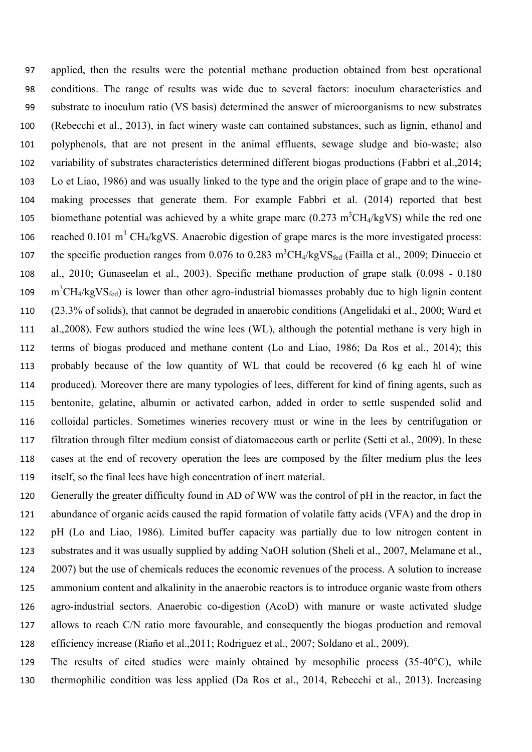applied, then the results were the potential methane production obtained from best operational conditions. The range of results was wide due to several factors: inoculum characteristics and substrate to inoculum ratio (VS basis) determined the answer of microorganisms to new substrates (Rebecchi et al., 2013), in fact winery waste can contained substances, such as lignin, ethanol and polyphenols, that are not present in the animal effluents, sewage sludge and bio-waste; also variability of substrates characteristics determined different biogas productions (Fabbri et al.,2014; Lo et Liao, 1986) and was usually linked to the type and the origin place of grape and to the wine- making processes that generate them. For example Fabbri et al. (2014) reported that best 105 biomethane potential was achieved by a white grape marc  $(0.273 \text{ m}^3 \text{CH}_4/\text{kgVS})$  while the red one 106 reached 0.101 m<sup>3</sup> CH<sub>4</sub>/kgVS. Anaerobic digestion of grape marcs is the more investigated process: the specific production ranges from  $0.076$  to  $0.283 \text{ m}^3\text{CH}_4/\text{kgVS}_{\text{fed}}$  (Failla et al., 2009; Dinuccio et al., 2010; Gunaseelan et al., 2003). Specific methane production of grape stalk (0.098 - 0.180  $m^3CH_4/kgVS_{\text{fed}}$ ) is lower than other agro-industrial biomasses probably due to high lignin content (23.3% of solids), that cannot be degraded in anaerobic conditions (Angelidaki et al., 2000; Ward et al.,2008). Few authors studied the wine lees (WL), although the potential methane is very high in terms of biogas produced and methane content (Lo and Liao, 1986; Da Ros et al., 2014); this probably because of the low quantity of WL that could be recovered (6 kg each hl of wine produced). Moreover there are many typologies of lees, different for kind of fining agents, such as bentonite, gelatine, albumin or activated carbon, added in order to settle suspended solid and colloidal particles. Sometimes wineries recovery must or wine in the lees by centrifugation or filtration through filter medium consist of diatomaceous earth or perlite (Setti et al., 2009). In these cases at the end of recovery operation the lees are composed by the filter medium plus the lees itself, so the final lees have high concentration of inert material.

 Generally the greater difficulty found in AD of WW was the control of pH in the reactor, in fact the abundance of organic acids caused the rapid formation of volatile fatty acids (VFA) and the drop in pH (Lo and Liao, 1986). Limited buffer capacity was partially due to low nitrogen content in substrates and it was usually supplied by adding NaOH solution (Sheli et al., 2007, Melamane et al., 2007) but the use of chemicals reduces the economic revenues of the process. A solution to increase ammonium content and alkalinity in the anaerobic reactors is to introduce organic waste from others agro-industrial sectors. Anaerobic co-digestion (AcoD) with manure or waste activated sludge allows to reach C/N ratio more favourable, and consequently the biogas production and removal efficiency increase (Riaño et al.,2011; Rodriguez et al., 2007; Soldano et al., 2009).

 The results of cited studies were mainly obtained by mesophilic process (35-40°C), while thermophilic condition was less applied (Da Ros et al., 2014, Rebecchi et al., 2013). Increasing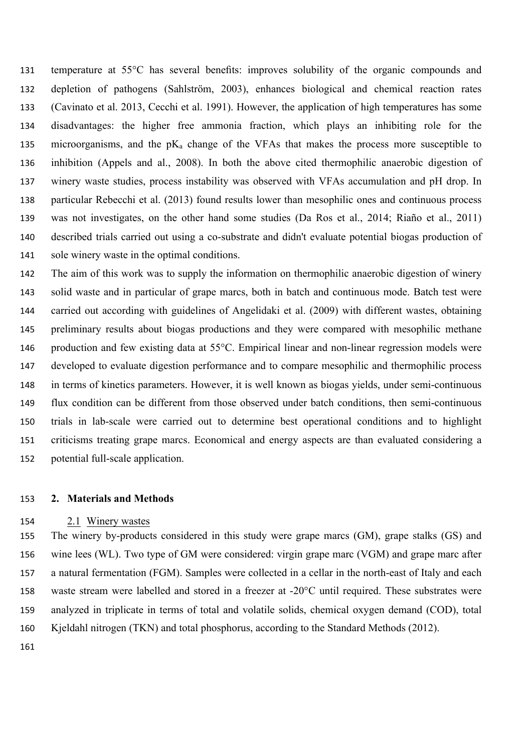temperature at 55°C has several benefits: improves solubility of the organic compounds and depletion of pathogens (Sahlstrӧm, 2003), enhances biological and chemical reaction rates (Cavinato et al. 2013, Cecchi et al. 1991). However, the application of high temperatures has some disadvantages: the higher free ammonia fraction, which plays an inhibiting role for the 135 microorganisms, and the  $pK_a$  change of the VFAs that makes the process more susceptible to inhibition (Appels and al., 2008). In both the above cited thermophilic anaerobic digestion of winery waste studies, process instability was observed with VFAs accumulation and pH drop. In particular Rebecchi et al. (2013) found results lower than mesophilic ones and continuous process was not investigates, on the other hand some studies (Da Ros et al., 2014; Riaño et al., 2011) described trials carried out using a co-substrate and didn't evaluate potential biogas production of sole winery waste in the optimal conditions.

 The aim of this work was to supply the information on thermophilic anaerobic digestion of winery solid waste and in particular of grape marcs, both in batch and continuous mode. Batch test were carried out according with guidelines of Angelidaki et al. (2009) with different wastes, obtaining preliminary results about biogas productions and they were compared with mesophilic methane production and few existing data at 55°C. Empirical linear and non-linear regression models were developed to evaluate digestion performance and to compare mesophilic and thermophilic process in terms of kinetics parameters. However, it is well known as biogas yields, under semi-continuous flux condition can be different from those observed under batch conditions, then semi-continuous trials in lab-scale were carried out to determine best operational conditions and to highlight criticisms treating grape marcs. Economical and energy aspects are than evaluated considering a potential full-scale application.

# **2. Materials and Methods**

#### 2.1 Winery wastes

 The winery by-products considered in this study were grape marcs (GM), grape stalks (GS) and wine lees (WL). Two type of GM were considered: virgin grape marc (VGM) and grape marc after a natural fermentation (FGM). Samples were collected in a cellar in the north-east of Italy and each waste stream were labelled and stored in a freezer at -20°C until required. These substrates were analyzed in triplicate in terms of total and volatile solids, chemical oxygen demand (COD), total Kjeldahl nitrogen (TKN) and total phosphorus, according to the Standard Methods (2012).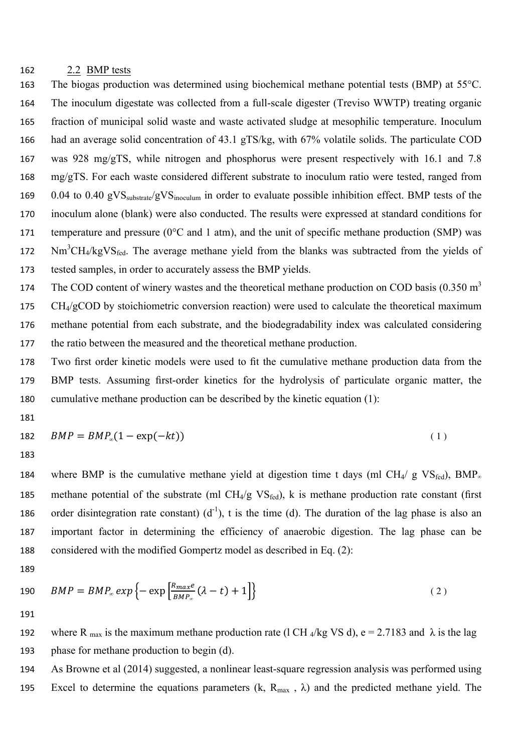#### 2.2 BMP tests

 The biogas production was determined using biochemical methane potential tests (BMP) at 55°C. The inoculum digestate was collected from a full-scale digester (Treviso WWTP) treating organic fraction of municipal solid waste and waste activated sludge at mesophilic temperature. Inoculum had an average solid concentration of 43.1 gTS/kg, with 67% volatile solids. The particulate COD was 928 mg/gTS, while nitrogen and phosphorus were present respectively with 16.1 and 7.8 mg/gTS. For each waste considered different substrate to inoculum ratio were tested, ranged from 169 0.04 to 0.40 gVS<sub>substrate</sub>/gVS<sub>inoculum</sub> in order to evaluate possible inhibition effect. BMP tests of the inoculum alone (blank) were also conducted. The results were expressed at standard conditions for temperature and pressure (0°C and 1 atm), and the unit of specific methane production (SMP) was  $Nm<sup>3</sup>CH<sub>4</sub>/kgVS<sub>fed</sub>$ . The average methane yield from the blanks was subtracted from the yields of tested samples, in order to accurately assess the BMP yields.

174 The COD content of winery wastes and the theoretical methane production on COD basis  $(0.350 \text{ m}^3)$  CH4/gCOD by stoichiometric conversion reaction) were used to calculate the theoretical maximum methane potential from each substrate, and the biodegradability index was calculated considering the ratio between the measured and the theoretical methane production.

 Two first order kinetic models were used to fit the cumulative methane production data from the BMP tests. Assuming first-order kinetics for the hydrolysis of particulate organic matter, the cumulative methane production can be described by the kinetic equation (1):

$$
182 \qquad BMP = BMP_{\infty}(1 - \exp(-kt)) \tag{1}
$$

184 where BMP is the cumulative methane yield at digestion time t days (ml CH<sub>4</sub>/ g VS<sub>fed</sub>), BMP<sub>∞</sub> 185 methane potential of the substrate (ml  $CH_4/g$  VS<sub>fed</sub>), k is methane production rate constant (first 186 order disintegration rate constant)  $(d^{-1})$ , t is the time (d). The duration of the lag phase is also an important factor in determining the efficiency of anaerobic digestion. The lag phase can be considered with the modified Gompertz model as described in Eq. (2):

190 
$$
BMP = BMP_{\infty} exp\left\{-\exp\left[\frac{R_{max}e}{BMP_{\infty}}(\lambda - t) + 1\right]\right\}
$$
 (2)

192 where R <sub>max</sub> is the maximum methane production rate (l CH <sub>4</sub>/kg VS d), e = 2.7183 and  $\lambda$  is the lag phase for methane production to begin (d).

 As Browne et al (2014) suggested, a nonlinear least-square regression analysis was performed using 195 Excel to determine the equations parameters  $(k, R_{max}, \lambda)$  and the predicted methane yield. The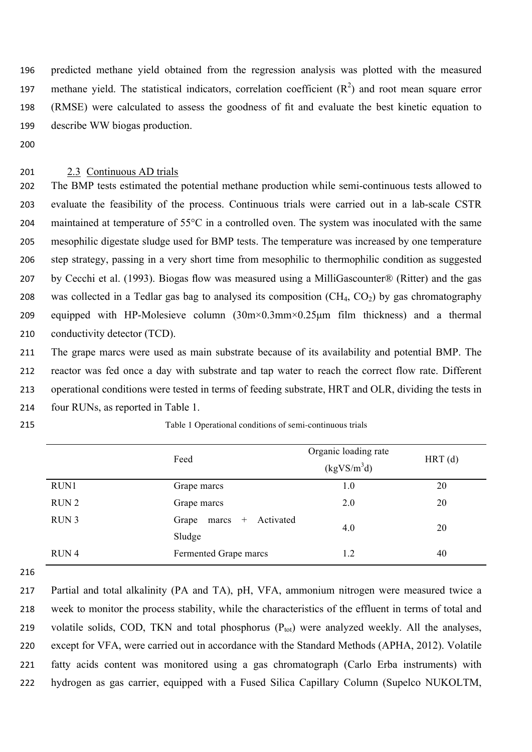predicted methane yield obtained from the regression analysis was plotted with the measured 197 methane yield. The statistical indicators, correlation coefficient  $(R^2)$  and root mean square error (RMSE) were calculated to assess the goodness of fit and evaluate the best kinetic equation to describe WW biogas production.

# 2.3 Continuous AD trials

 The BMP tests estimated the potential methane production while semi-continuous tests allowed to evaluate the feasibility of the process. Continuous trials were carried out in a lab-scale CSTR maintained at temperature of 55°C in a controlled oven. The system was inoculated with the same mesophilic digestate sludge used for BMP tests. The temperature was increased by one temperature step strategy, passing in a very short time from mesophilic to thermophilic condition as suggested by Cecchi et al. (1993). Biogas flow was measured using a MilliGascounter® (Ritter) and the gas 208 was collected in a Tedlar gas bag to analysed its composition  $(CH<sub>4</sub>, CO<sub>2</sub>)$  by gas chromatography equipped with HP-Molesieve column (30m×0.3mm×0.25µm film thickness) and a thermal conductivity detector (TCD).

 The grape marcs were used as main substrate because of its availability and potential BMP. The reactor was fed once a day with substrate and tap water to reach the correct flow rate. Different operational conditions were tested in terms of feeding substrate, HRT and OLR, dividing the tests in four RUNs, as reported in Table 1.

| 215 | Table 1 Operational conditions of semi-continuous trials |  |
|-----|----------------------------------------------------------|--|
|-----|----------------------------------------------------------|--|

|                  | Feed                                         | Organic loading rate<br>$(kgVS/m^3d)$ | $HRT$ (d) |
|------------------|----------------------------------------------|---------------------------------------|-----------|
| RUN1             | Grape marcs                                  | 1.0                                   | 20        |
| RUN <sub>2</sub> | Grape marcs                                  | 2.0                                   | 20        |
| RUN <sub>3</sub> | Activated<br>Grape<br>$+$<br>marcs<br>Sludge | 4.0                                   | 20        |
| RUN <sub>4</sub> | Fermented Grape marcs                        | 1.2                                   | 40        |

 Partial and total alkalinity (PA and TA), pH, VFA, ammonium nitrogen were measured twice a week to monitor the process stability, while the characteristics of the effluent in terms of total and 219 volatile solids, COD, TKN and total phosphorus  $(P_{tot})$  were analyzed weekly. All the analyses, except for VFA, were carried out in accordance with the Standard Methods (APHA, 2012). Volatile fatty acids content was monitored using a gas chromatograph (Carlo Erba instruments) with hydrogen as gas carrier, equipped with a Fused Silica Capillary Column (Supelco NUKOLTM,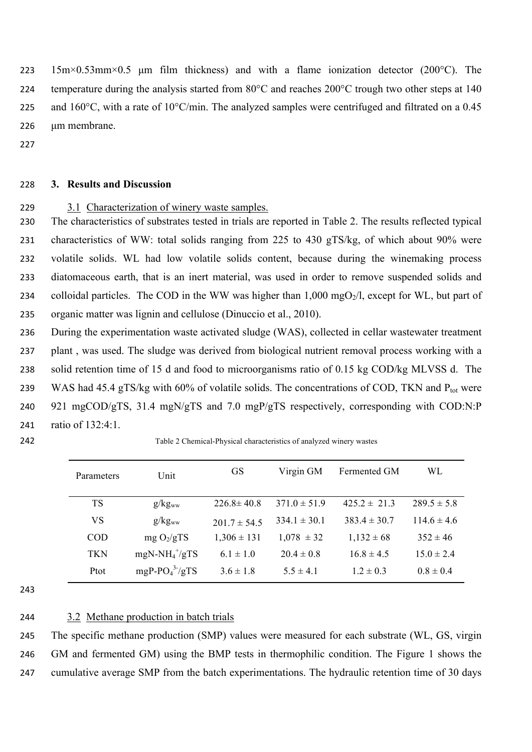223 15m×0.53mm×0.5 µm film thickness) and with a flame ionization detector (200 $^{\circ}$ C). The 224 temperature during the analysis started from 80°C and reaches 200°C trough two other steps at 140 225 and 160°C, with a rate of 10°C/min. The analyzed samples were centrifuged and filtrated on a 0.45 226 um membrane.

227

# 228 **3. Results and Discussion**

# 229 3.1 Characterization of winery waste samples.

 The characteristics of substrates tested in trials are reported in Table 2. The results reflected typical characteristics of WW: total solids ranging from 225 to 430 gTS/kg, of which about 90% were volatile solids. WL had low volatile solids content, because during the winemaking process diatomaceous earth, that is an inert material, was used in order to remove suspended solids and 234 colloidal particles. The COD in the WW was higher than  $1,000 \text{ mgO}_2/l$ , except for WL, but part of organic matter was lignin and cellulose (Dinuccio et al., 2010).

 During the experimentation waste activated sludge (WAS), collected in cellar wastewater treatment plant , was used. The sludge was derived from biological nutrient removal process working with a solid retention time of 15 d and food to microorganisms ratio of 0.15 kg COD/kg MLVSS d. The 239 WAS had 45.4 gTS/kg with 60% of volatile solids. The concentrations of COD, TKN and  $P_{tot}$  were 921 mgCOD/gTS, 31.4 mgN/gTS and 7.0 mgP/gTS respectively, corresponding with COD:N:P ratio of 132:4:1.

| ٠ | ×. |
|---|----|
|   | ٠  |

Table 2 Chemical-Physical characteristics of analyzed winery wastes

| Parameters | Unit                          | <b>GS</b>        | Virgin GM        | Fermented GM     | WL              |
|------------|-------------------------------|------------------|------------------|------------------|-----------------|
| TS         | g/kg <sub>ww</sub>            | $226.8 \pm 40.8$ | $371.0 \pm 51.9$ | $425.2 \pm 21.3$ | $289.5 \pm 5.8$ |
| VS         | g/kg <sub>ww</sub>            | $201.7 \pm 54.5$ | $334.1 \pm 30.1$ | $383.4 \pm 30.7$ | $114.6 \pm 4.6$ |
| COD        | mg $O_2/gTS$                  | $1,306 \pm 131$  | $1,078 \pm 32$   | $1,132 \pm 68$   | $352 \pm 46$    |
| <b>TKN</b> | $mgN-NH_4^{\dagger}/gTS$      | $6.1 \pm 1.0$    | $20.4 \pm 0.8$   | $16.8 \pm 4.5$   | $15.0 \pm 2.4$  |
| Ptot       | mgP-PO <sub>4</sub> $3$ -/gTS | $3.6 \pm 1.8$    | $5.5 \pm 4.1$    | $1.2 \pm 0.3$    | $0.8 \pm 0.4$   |

243

# 244 3.2 Methane production in batch trials

245 The specific methane production (SMP) values were measured for each substrate (WL, GS, virgin 246 GM and fermented GM) using the BMP tests in thermophilic condition. The Figure 1 shows the 247 cumulative average SMP from the batch experimentations. The hydraulic retention time of 30 days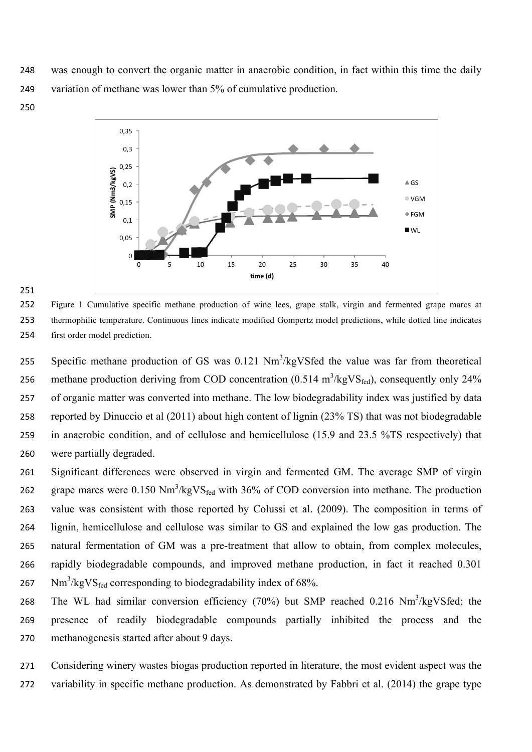248 was enough to convert the organic matter in anaerobic condition, in fact within this time the daily 249 variation of methane was lower than 5% of cumulative production.

250



#### 251

252 Figure 1 Cumulative specific methane production of wine lees, grape stalk, virgin and fermented grape marcs at 253 thermophilic temperature. Continuous lines indicate modified Gompertz model predictions, while dotted line indicates 254 first order model prediction.

255 Specific methane production of GS was  $0.121 \text{ Nm}^3/\text{kgV}$  Sfed the value was far from theoretical 256 methane production deriving from COD concentration  $(0.514 \text{ m}^3/\text{kgVS}_{\text{fed}})$ , consequently only 24% of organic matter was converted into methane. The low biodegradability index was justified by data reported by Dinuccio et al (2011) about high content of lignin (23% TS) that was not biodegradable in anaerobic condition, and of cellulose and hemicellulose (15.9 and 23.5 %TS respectively) that were partially degraded.

 Significant differences were observed in virgin and fermented GM. The average SMP of virgin 262 grape marcs were  $0.150 \text{ Nm}^3/\text{kgVS}_{\text{fed}}$  with 36% of COD conversion into methane. The production value was consistent with those reported by Colussi et al. (2009). The composition in terms of lignin, hemicellulose and cellulose was similar to GS and explained the low gas production. The natural fermentation of GM was a pre-treatment that allow to obtain, from complex molecules, rapidly biodegradable compounds, and improved methane production, in fact it reached 0.301 Nm<sup>3</sup>/kgVS<sub>fed</sub> corresponding to biodegradability index of 68%.

268 The WL had similar conversion efficiency (70%) but SMP reached 0.216  $Nm<sup>3</sup>/kgVSfed$ ; the 269 presence of readily biodegradable compounds partially inhibited the process and the 270 methanogenesis started after about 9 days.

271 Considering winery wastes biogas production reported in literature, the most evident aspect was the 272 variability in specific methane production. As demonstrated by Fabbri et al. (2014) the grape type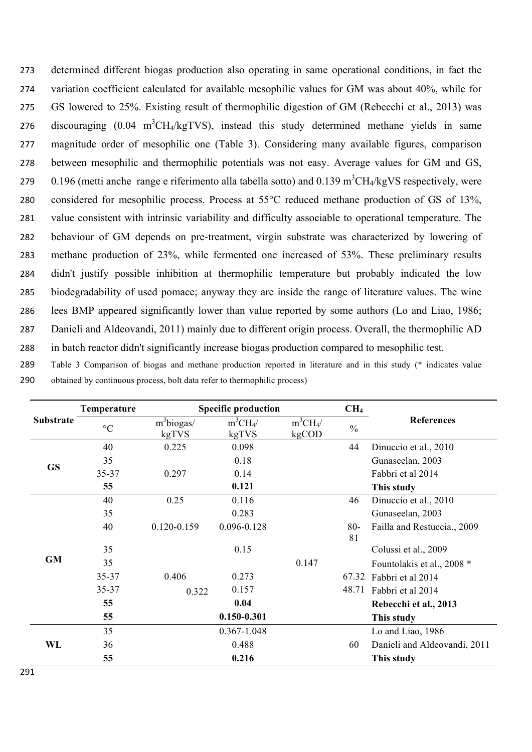determined different biogas production also operating in same operational conditions, in fact the variation coefficient calculated for available mesophilic values for GM was about 40%, while for GS lowered to 25%. Existing result of thermophilic digestion of GM (Rebecchi et al., 2013) was 276 discouraging  $(0.04 \text{ m}^3\text{CH}_4/\text{kgTVS})$ , instead this study determined methane yields in same magnitude order of mesophilic one (Table 3). Considering many available figures, comparison between mesophilic and thermophilic potentials was not easy. Average values for GM and GS, 279 0.196 (metti anche range e riferimento alla tabella sotto) and  $0.139 \text{ m}^3\text{CH}_4/\text{kgVS}$  respectively, were considered for mesophilic process. Process at 55°C reduced methane production of GS of 13%, value consistent with intrinsic variability and difficulty associable to operational temperature. The behaviour of GM depends on pre-treatment, virgin substrate was characterized by lowering of methane production of 23%, while fermented one increased of 53%. These preliminary results didn't justify possible inhibition at thermophilic temperature but probably indicated the low biodegradability of used pomace; anyway they are inside the range of literature values. The wine lees BMP appeared significantly lower than value reported by some authors (Lo and Liao, 1986; Danieli and Aldeovandi, 2011) mainly due to different origin process. Overall, the thermophilic AD in batch reactor didn't significantly increase biogas production compared to mesophilic test.

289 Table 3 Comparison of biogas and methane production reported in literature and in this study (\* indicates value 290 obtained by continuous process, bolt data refer to thermophilic process)

|                  | Temperature     |                                   | <b>Specific production</b> |                     | CH <sub>4</sub> |                              |
|------------------|-----------------|-----------------------------------|----------------------------|---------------------|-----------------|------------------------------|
| <b>Substrate</b> | $\rm ^{\circ}C$ | $\overline{m}^3$ biogas/<br>kgTVS | $m^3CH_4/$<br>kgTVS        | $m^3CH_4/$<br>kgCOD | $\frac{0}{0}$   | <b>References</b>            |
|                  | 40              | 0.225                             | 0.098                      |                     | 44              | Dinuccio et al., 2010        |
|                  | 35              |                                   | 0.18                       |                     |                 | Gunaseelan, 2003             |
| <b>GS</b>        | 35-37           | 0.297                             | 0.14                       |                     |                 | Fabbri et al 2014            |
|                  | 55              |                                   | 0.121                      |                     |                 | This study                   |
|                  | 40              | 0.25                              | 0.116                      |                     | 46              | Dinuccio et al., 2010        |
|                  | 35              |                                   | 0.283                      |                     |                 | Gunaseelan, 2003             |
|                  | 40              | $0.120 - 0.159$                   | 0.096-0.128                |                     | $80-$<br>81     | Failla and Restuccia., 2009  |
|                  | 35              |                                   | 0.15                       |                     |                 | Colussi et al., 2009         |
| <b>GM</b>        | 35              |                                   |                            | 0.147               |                 | Fountolakis et al., 2008 *   |
|                  | 35-37           | 0.406                             | 0.273                      |                     | 67.32           | Fabbri et al 2014            |
|                  | 35-37           | 0.322                             | 0.157                      |                     | 48.71           | Fabbri et al 2014            |
|                  | 55              |                                   | 0.04                       |                     |                 | Rebecchi et al., 2013        |
|                  | 55              |                                   | $0.150 - 0.301$            |                     |                 | This study                   |
|                  | 35              |                                   | 0.367-1.048                |                     |                 | Lo and Liao, 1986            |
| WL               | 36              |                                   | 0.488                      |                     | 60              | Danieli and Aldeovandi, 2011 |
|                  | 55              |                                   | 0.216                      |                     |                 | This study                   |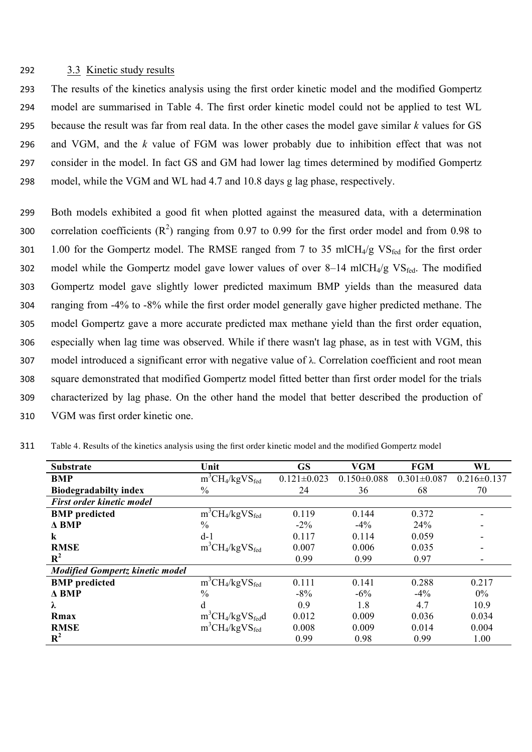# 292 3.3 Kinetic study results

 The results of the kinetics analysis using the first order kinetic model and the modified Gompertz model are summarised in Table 4. The first order kinetic model could not be applied to test WL because the result was far from real data. In the other cases the model gave similar *k* values for GS and VGM, and the *k* value of FGM was lower probably due to inhibition effect that was not consider in the model. In fact GS and GM had lower lag times determined by modified Gompertz model, while the VGM and WL had 4.7 and 10.8 days g lag phase, respectively.

 Both models exhibited a good fit when plotted against the measured data, with a determination 300 correlation coefficients  $(R^2)$  ranging from 0.97 to 0.99 for the first order model and from 0.98 to 301 1.00 for the Gompertz model. The RMSE ranged from 7 to 35 mlCH $_4$ /g VS<sub>fed</sub> for the first order 302 model while the Gompertz model gave lower values of over  $8-14$  mlCH<sub>4</sub>/g VS<sub>fed</sub>. The modified Gompertz model gave slightly lower predicted maximum BMP yields than the measured data ranging from -4% to -8% while the first order model generally gave higher predicted methane. The model Gompertz gave a more accurate predicted max methane yield than the first order equation, especially when lag time was observed. While if there wasn't lag phase, as in test with VGM, this model introduced a significant error with negative value of λ. Correlation coefficient and root mean square demonstrated that modified Gompertz model fitted better than first order model for the trials characterized by lag phase. On the other hand the model that better described the production of VGM was first order kinetic one.

| <b>Substrate</b>                       | Unit                        | <b>GS</b>         | <b>VGM</b>        | <b>FGM</b>        | WL                |
|----------------------------------------|-----------------------------|-------------------|-------------------|-------------------|-------------------|
| <b>BMP</b>                             | $m^3CH_4/kgVS_{\text{fed}}$ | $0.121 \pm 0.023$ | $0.150 \pm 0.088$ | $0.301 \pm 0.087$ | $0.216 \pm 0.137$ |
| <b>Biodegradabilty index</b>           | $\frac{0}{0}$               | 24                | 36                | 68                | 70                |
| <b>First order kinetic model</b>       |                             |                   |                   |                   |                   |
| <b>BMP</b> predicted                   | $m^3CH_4/kgVS_{\text{fed}}$ | 0.119             | 0.144             | 0.372             | ۰                 |
| $\triangle$ BMP                        | $\frac{0}{0}$               | $-2\%$            | $-4\%$            | 24%               |                   |
| k                                      | $d-1$                       | 0.117             | 0.114             | 0.059             |                   |
| <b>RMSE</b>                            | $m^3CH_4/kgVS_{\text{fed}}$ | 0.007             | 0.006             | 0.035             |                   |
| $\mathbf{R}^2$                         |                             | 0.99              | 0.99              | 0.97              |                   |
| <b>Modified Gompertz kinetic model</b> |                             |                   |                   |                   |                   |
| <b>BMP</b> predicted                   | $m^3CH_4/kgVS_{\text{fed}}$ | 0.111             | 0.141             | 0.288             | 0.217             |
| $\triangle$ BMP                        | $\frac{0}{0}$               | $-8%$             | $-6%$             | $-4%$             | 0%                |
| λ                                      | d                           | 0.9               | 1.8               | 4.7               | 10.9              |
| Rmax                                   | $m^3CH_4/kgVS_{\text{fed}}$ | 0.012             | 0.009             | 0.036             | 0.034             |
| <b>RMSE</b>                            | $m^3CH_4/kgVS_{\text{fed}}$ | 0.008             | 0.009             | 0.014             | 0.004             |
| $R^2$                                  |                             | 0.99              | 0.98              | 0.99              | 1.00              |

311 Table 4. Results of the kinetics analysis using the first order kinetic model and the modified Gompertz model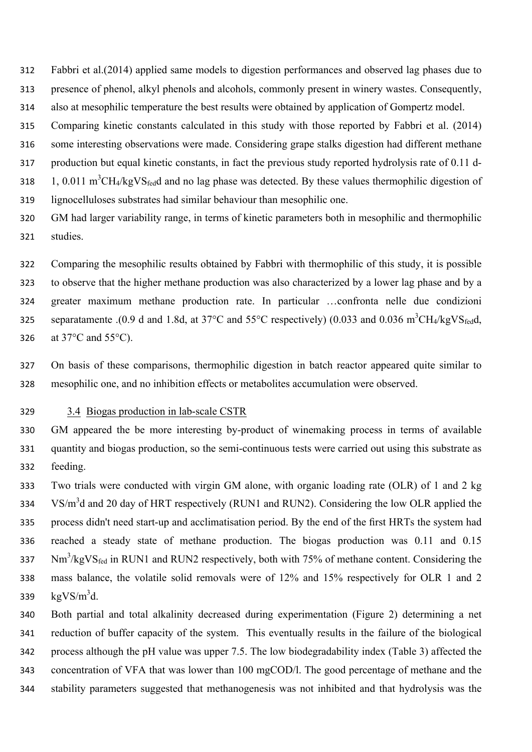Fabbri et al.(2014) applied same models to digestion performances and observed lag phases due to presence of phenol, alkyl phenols and alcohols, commonly present in winery wastes. Consequently, also at mesophilic temperature the best results were obtained by application of Gompertz model.

Comparing kinetic constants calculated in this study with those reported by Fabbri et al. (2014)

some interesting observations were made. Considering grape stalks digestion had different methane

production but equal kinetic constants, in fact the previous study reported hydrolysis rate of 0.11 d-

318 1, 0.011 m<sup>3</sup>CH<sub>4</sub>/kgVS<sub>fed</sub>d and no lag phase was detected. By these values thermophilic digestion of

lignocelluloses substrates had similar behaviour than mesophilic one.

 GM had larger variability range, in terms of kinetic parameters both in mesophilic and thermophilic studies.

 Comparing the mesophilic results obtained by Fabbri with thermophilic of this study, it is possible to observe that the higher methane production was also characterized by a lower lag phase and by a greater maximum methane production rate. In particular …confronta nelle due condizioni separatamente .(0.9 d and 1.8d, at 37 $^{\circ}$ C and 55 $^{\circ}$ C respectively) (0.033 and 0.036 m<sup>3</sup>CH<sub>4</sub>/kgVS<sub>fed</sub>d, at 37°C and 55°C).

 On basis of these comparisons, thermophilic digestion in batch reactor appeared quite similar to mesophilic one, and no inhibition effects or metabolites accumulation were observed.

#### 3.4 Biogas production in lab-scale CSTR

 GM appeared the be more interesting by-product of winemaking process in terms of available quantity and biogas production, so the semi-continuous tests were carried out using this substrate as feeding.

 Two trials were conducted with virgin GM alone, with organic loading rate (OLR) of 1 and 2 kg  $V\sin^3 d$  and 20 day of HRT respectively (RUN1 and RUN2). Considering the low OLR applied the process didn't need start-up and acclimatisation period. By the end of the first HRTs the system had reached a steady state of methane production. The biogas production was 0.11 and 0.15  $Nm<sup>3</sup>/kgVS<sub>fed</sub>$  in RUN1 and RUN2 respectively, both with 75% of methane content. Considering the mass balance, the volatile solid removals were of 12% and 15% respectively for OLR 1 and 2  $\text{kgVS/m}^3$ d.

 Both partial and total alkalinity decreased during experimentation (Figure 2) determining a net reduction of buffer capacity of the system. This eventually results in the failure of the biological process although the pH value was upper 7.5. The low biodegradability index (Table 3) affected the concentration of VFA that was lower than 100 mgCOD/l. The good percentage of methane and the stability parameters suggested that methanogenesis was not inhibited and that hydrolysis was the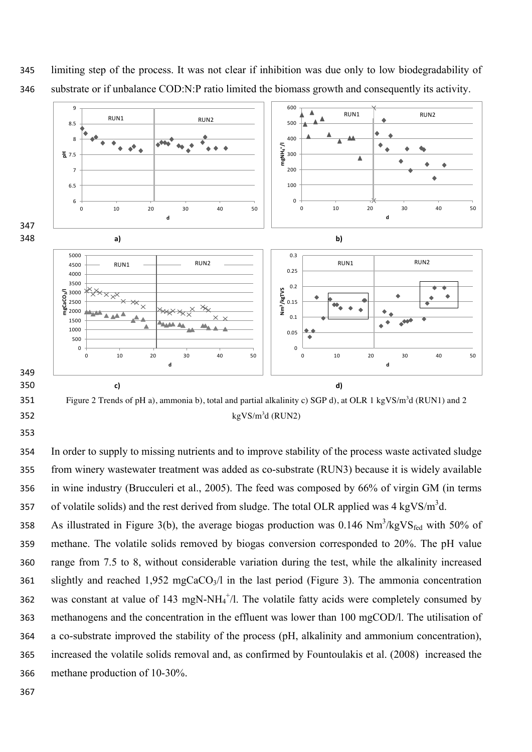

 limiting step of the process. It was not clear if inhibition was due only to low biodegradability of substrate or if unbalance COD:N:P ratio limited the biomass growth and consequently its activity.

Figure 2 Trends of pH a), ammonia b), total and partial alkalinity c) SGP d), at OLR 1 kgVS/m<sup>3</sup>d (RUN1) and 2  $\text{kgVS/m}^3$ d (RUN2)

 In order to supply to missing nutrients and to improve stability of the process waste activated sludge from winery wastewater treatment was added as co-substrate (RUN3) because it is widely available in wine industry (Brucculeri et al., 2005). The feed was composed by 66% of virgin GM (in terms of volatile solids) and the rest derived from sludge. The total OLR applied was  $4 \text{ kgVS/m}^3$ d.

358 As illustrated in Figure 3(b), the average biogas production was  $0.146 \text{ Nm}^3/\text{kgVS}_{\text{fed}}$  with 50% of methane. The volatile solids removed by biogas conversion corresponded to 20%. The pH value range from 7.5 to 8, without considerable variation during the test, while the alkalinity increased 361 slightly and reached  $1,952 \text{ mgCaCO}_3/l$  in the last period (Figure 3). The ammonia concentration 362 was constant at value of 143 mgN-NH $_4^{\text{+}}/$ l. The volatile fatty acids were completely consumed by methanogens and the concentration in the effluent was lower than 100 mgCOD/l. The utilisation of a co-substrate improved the stability of the process (pH, alkalinity and ammonium concentration), increased the volatile solids removal and, as confirmed by Fountoulakis et al. (2008) increased the methane production of 10-30%.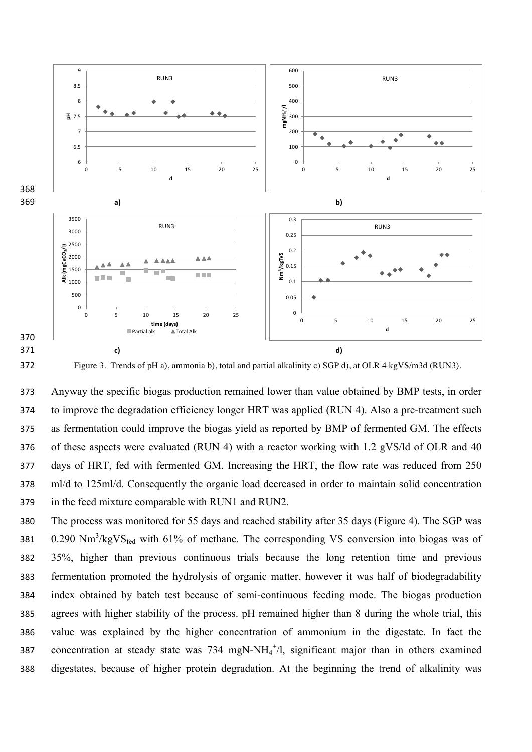



Figure 3. Trends of pH a), ammonia b), total and partial alkalinity c) SGP d), at OLR 4 kgVS/m3d (RUN3).

 Anyway the specific biogas production remained lower than value obtained by BMP tests, in order to improve the degradation efficiency longer HRT was applied (RUN 4). Also a pre-treatment such as fermentation could improve the biogas yield as reported by BMP of fermented GM. The effects of these aspects were evaluated (RUN 4) with a reactor working with 1.2 gVS/ld of OLR and 40 days of HRT, fed with fermented GM. Increasing the HRT, the flow rate was reduced from 250 ml/d to 125ml/d. Consequently the organic load decreased in order to maintain solid concentration in the feed mixture comparable with RUN1 and RUN2.

 The process was monitored for 55 days and reached stability after 35 days (Figure 4). The SGP was  $\,$  0.290 Nm<sup>3</sup>/kgVS<sub>fed</sub> with 61% of methane. The corresponding VS conversion into biogas was of 35%, higher than previous continuous trials because the long retention time and previous fermentation promoted the hydrolysis of organic matter, however it was half of biodegradability index obtained by batch test because of semi-continuous feeding mode. The biogas production agrees with higher stability of the process. pH remained higher than 8 during the whole trial, this value was explained by the higher concentration of ammonium in the digestate. In fact the 387 concentration at steady state was  $734 \text{ mgN-NH}_4^+$ , significant major than in others examined digestates, because of higher protein degradation. At the beginning the trend of alkalinity was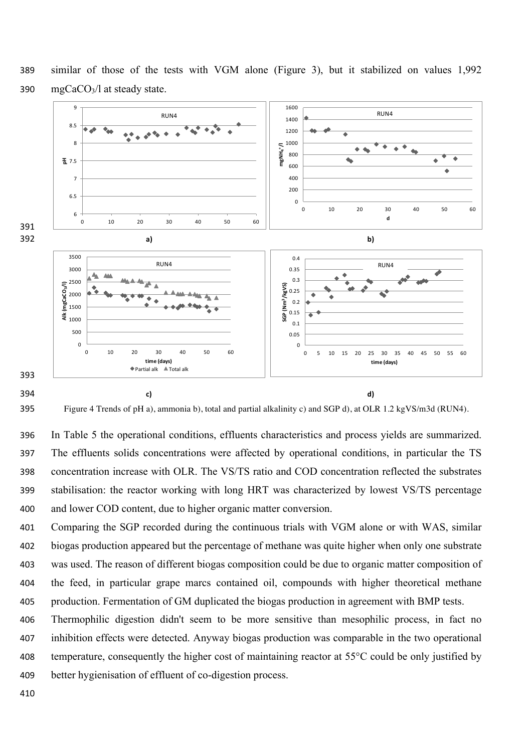

 similar of those of the tests with VGM alone (Figure 3), but it stabilized on values 1,992 mgCaCO3/l at steady state.

Figure 4 Trends of pH a), ammonia b), total and partial alkalinity c) and SGP d), at OLR 1.2 kgVS/m3d (RUN4).

 In Table 5 the operational conditions, effluents characteristics and process yields are summarized. The effluents solids concentrations were affected by operational conditions, in particular the TS concentration increase with OLR. The VS/TS ratio and COD concentration reflected the substrates stabilisation: the reactor working with long HRT was characterized by lowest VS/TS percentage and lower COD content, due to higher organic matter conversion.

 Comparing the SGP recorded during the continuous trials with VGM alone or with WAS, similar biogas production appeared but the percentage of methane was quite higher when only one substrate was used. The reason of different biogas composition could be due to organic matter composition of the feed, in particular grape marcs contained oil, compounds with higher theoretical methane production. Fermentation of GM duplicated the biogas production in agreement with BMP tests.

 Thermophilic digestion didn't seem to be more sensitive than mesophilic process, in fact no inhibition effects were detected. Anyway biogas production was comparable in the two operational temperature, consequently the higher cost of maintaining reactor at 55°C could be only justified by better hygienisation of effluent of co-digestion process.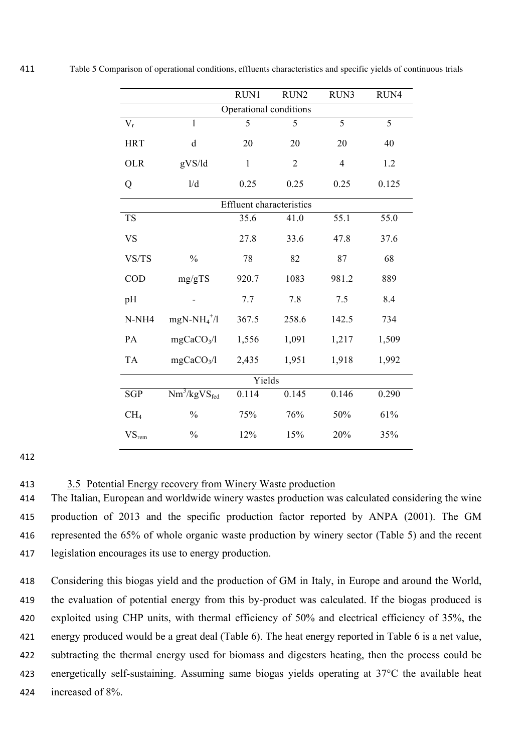|                        |                                                        | RUN1                            | RUN2       | RUN3           | RUN4  |  |
|------------------------|--------------------------------------------------------|---------------------------------|------------|----------------|-------|--|
| Operational conditions |                                                        |                                 |            |                |       |  |
| $V_r$                  | 1                                                      | 5                               | 5          | 5              | 5     |  |
| <b>HRT</b>             | $\mathbf d$                                            | 20                              | 20         | 20             | 40    |  |
| <b>OLR</b>             | gVS/ld                                                 | $\mathbf{1}$                    | $\sqrt{2}$ | $\overline{4}$ | 1.2   |  |
| Q                      | 1/d                                                    | 0.25                            | 0.25       | 0.25           | 0.125 |  |
|                        |                                                        | <b>Effluent characteristics</b> |            |                |       |  |
| <b>TS</b>              |                                                        | 35.6                            | 41.0       | 55.1           | 55.0  |  |
| <b>VS</b>              |                                                        | 27.8                            | 33.6       | 47.8           | 37.6  |  |
| VS/TS                  | $\frac{0}{0}$                                          | 78                              | 82         | 87             | 68    |  |
| COD                    | mg/gTS                                                 | 920.7                           | 1083       | 981.2          | 889   |  |
| pH                     |                                                        | 7.7                             | 7.8        | 7.5            | 8.4   |  |
| N-NH <sub>4</sub>      | $mgN-NH_4^+$ /l                                        | 367.5                           | 258.6      | 142.5          | 734   |  |
| PA                     | mgCaCO <sub>3</sub> /l                                 | 1,556                           | 1,091      | 1,217          | 1,509 |  |
| <b>TA</b>              | mgCaCO <sub>3</sub> /l                                 | 2,435                           | 1,951      | 1,918          | 1,992 |  |
| Yields                 |                                                        |                                 |            |                |       |  |
| <b>SGP</b>             | $\overline{\text{Nm}^3/\text{kg}}\text{VS}_\text{fed}$ | 0.114                           | 0.145      | 0.146          | 0.290 |  |
| CH <sub>4</sub>        | $\frac{0}{0}$                                          | 75%                             | 76%        | 50%            | 61%   |  |
| $VS_{rem}$             | $\frac{0}{0}$                                          | 12%                             | 15%        | 20%            | 35%   |  |

# 412

# 413 3.5 Potential Energy recovery from Winery Waste production

 The Italian, European and worldwide winery wastes production was calculated considering the wine production of 2013 and the specific production factor reported by ANPA (2001). The GM represented the 65% of whole organic waste production by winery sector (Table 5) and the recent legislation encourages its use to energy production.

 Considering this biogas yield and the production of GM in Italy, in Europe and around the World, the evaluation of potential energy from this by-product was calculated. If the biogas produced is exploited using CHP units, with thermal efficiency of 50% and electrical efficiency of 35%, the energy produced would be a great deal (Table 6). The heat energy reported in Table 6 is a net value, subtracting the thermal energy used for biomass and digesters heating, then the process could be energetically self-sustaining. Assuming same biogas yields operating at 37°C the available heat increased of 8%.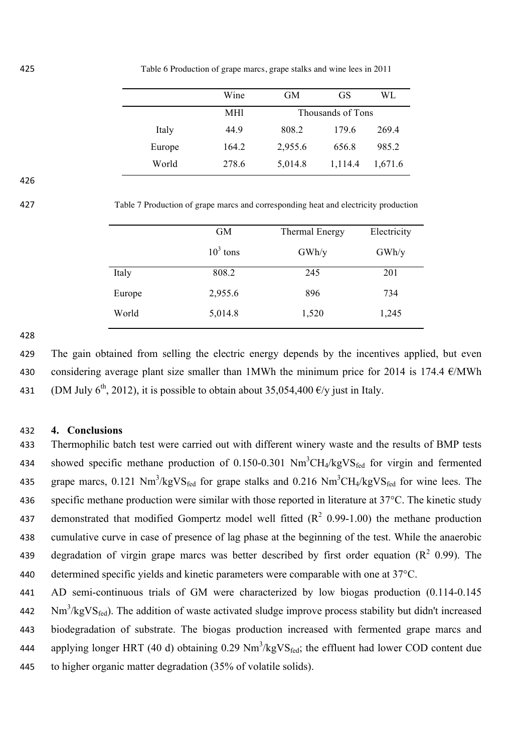425 Table 6 Production of grape marcs, grape stalks and wine lees in 2011

|        | Wine  | <b>GM</b> | GS                | WL      |
|--------|-------|-----------|-------------------|---------|
|        | MH1   |           | Thousands of Tons |         |
| Italy  | 44.9  | 808.2     | 179.6             | 269.4   |
| Europe | 164.2 | 2,955.6   | 656.8             | 985.2   |
| World  | 278.6 | 5,014.8   | 1,114.4           | 1,671.6 |

426

427 Table 7 Production of grape marcs and corresponding heat and electricity production

|        | <b>GM</b>  | Thermal Energy | Electricity |
|--------|------------|----------------|-------------|
|        | $103$ tons | GWh/y          | GWh/y       |
| Italy  | 808.2      | 245            | 201         |
| Europe | 2,955.6    | 896            | 734         |
| World  | 5,014.8    | 1,520          | 1,245       |

428

429 The gain obtained from selling the electric energy depends by the incentives applied, but even 430 considering average plant size smaller than 1MWh the minimum price for 2014 is 174.4  $\epsilon$ /MWh 431 (DM July 6<sup>th</sup>, 2012), it is possible to obtain about 35,054,400  $\epsilon$ /y just in Italy.

# 432 **4. Conclusions**

433 Thermophilic batch test were carried out with different winery waste and the results of BMP tests 434 showed specific methane production of  $0.150$ -0.301 Nm<sup>3</sup>CH<sub>4</sub>/kgVS<sub>fed</sub> for virgin and fermented 435 grape marcs, 0.121 Nm<sup>3</sup>/kgVS<sub>fed</sub> for grape stalks and 0.216 Nm<sup>3</sup>CH<sub>4</sub>/kgVS<sub>fed</sub> for wine lees. The 436 specific methane production were similar with those reported in literature at 37°C. The kinetic study 437 demonstrated that modified Gompertz model well fitted  $(R^2 \t0.99-1.00)$  the methane production 438 cumulative curve in case of presence of lag phase at the beginning of the test. While the anaerobic 439 degradation of virgin grape marcs was better described by first order equation ( $R^2$  0.99). The 440 determined specific yields and kinetic parameters were comparable with one at 37°C.

441 AD semi-continuous trials of GM were characterized by low biogas production (0.114-0.145  $Nm<sup>3</sup>/kgVS<sub>fed</sub>$ ). The addition of waste activated sludge improve process stability but didn't increased 443 biodegradation of substrate. The biogas production increased with fermented grape marcs and applying longer HRT (40 d) obtaining 0.29  $Nm^3/kgVS_{\text{fed}}$ ; the effluent had lower COD content due 445 to higher organic matter degradation (35% of volatile solids).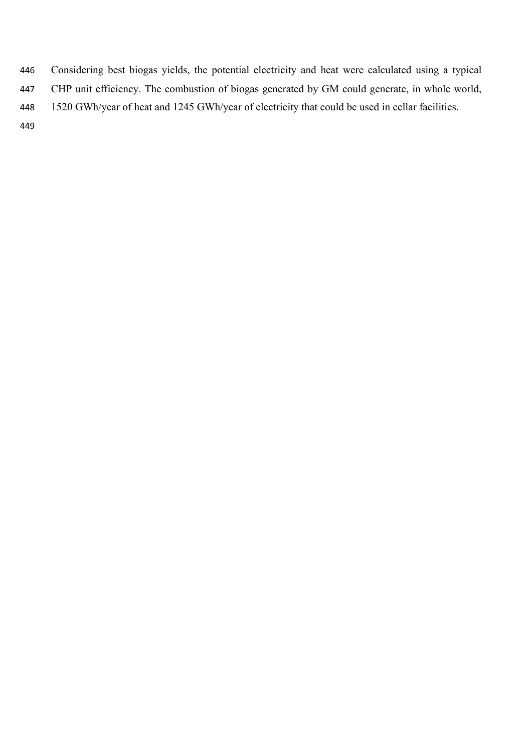Considering best biogas yields, the potential electricity and heat were calculated using a typical CHP unit efficiency. The combustion of biogas generated by GM could generate, in whole world, 1520 GWh/year of heat and 1245 GWh/year of electricity that could be used in cellar facilities.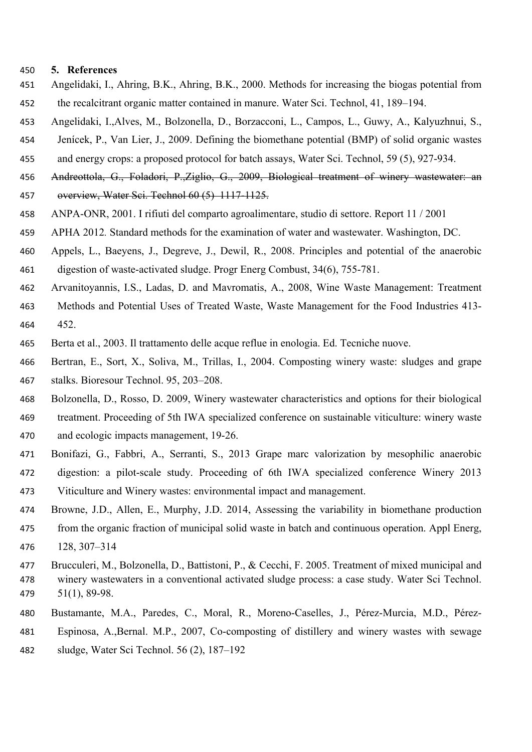#### **5. References**

- Angelidaki, I., Ahring, B.K., Ahring, B.K., 2000. Methods for increasing the biogas potential from the recalcitrant organic matter contained in manure. Water Sci. Technol, 41, 189–194.
- Angelidaki, I.,Alves, M., Bolzonella, D., Borzacconi, L., Campos, L., Guwy, A., Kalyuzhnui, S.,
- Jenícek, P., Van Lier, J., 2009. Defining the biomethane potential (BMP) of solid organic wastes
- and energy crops: a proposed protocol for batch assays, Water Sci. Technol, 59 (5), 927-934.
- Andreottola, G., Foladori, P.,Ziglio, G., 2009, Biological treatment of winery wastewater: an overview, Water Sci. Technol 60 (5) 1117-1125.
- ANPA-ONR, 2001. I rifiuti del comparto agroalimentare, studio di settore. Report 11 / 2001
- APHA 2012*.* Standard methods for the examination of water and wastewater. Washington, DC.
- Appels, L., Baeyens, J., Degreve, J., Dewil, R., 2008. Principles and potential of the anaerobic digestion of waste-activated sludge. Progr Energ Combust, 34(6), 755-781.
- Arvanitoyannis, I.S., Ladas, D. and Mavromatis, A., 2008, Wine Waste Management: Treatment
- Methods and Potential Uses of Treated Waste, Waste Management for the Food Industries 413- 452.
- Berta et al., 2003. Il trattamento delle acque reflue in enologia. Ed. Tecniche nuove.
- Bertran, E., Sort, X., Soliva, M., Trillas, I., 2004. Composting winery waste: sludges and grape stalks. Bioresour Technol. 95, 203–208.
- Bolzonella, D., Rosso, D. 2009, Winery wastewater characteristics and options for their biological treatment. Proceeding of 5th IWA specialized conference on sustainable viticulture: winery waste
- and ecologic impacts management, 19-26.
- Bonifazi, G., Fabbri, A., Serranti, S., 2013 Grape marc valorization by mesophilic anaerobic digestion: a pilot-scale study. Proceeding of 6th IWA specialized conference Winery 2013 Viticulture and Winery wastes: environmental impact and management.
- Browne, J.D., Allen, E., Murphy, J.D. 2014, Assessing the variability in biomethane production from the organic fraction of municipal solid waste in batch and continuous operation. Appl Energ, 128, 307–314
- Brucculeri, M., Bolzonella, D., Battistoni, P., & Cecchi, F. 2005. Treatment of mixed municipal and winery wastewaters in a conventional activated sludge process: a case study. Water Sci Technol. 51(1), 89-98.
- Bustamante, M.A., Paredes, C., Moral, R., Moreno-Caselles, J., Pérez-Murcia, M.D., Pérez-
- Espinosa, A.,Bernal. M.P., 2007, Co-composting of distillery and winery wastes with sewage
- sludge, Water Sci Technol. 56 (2), 187–192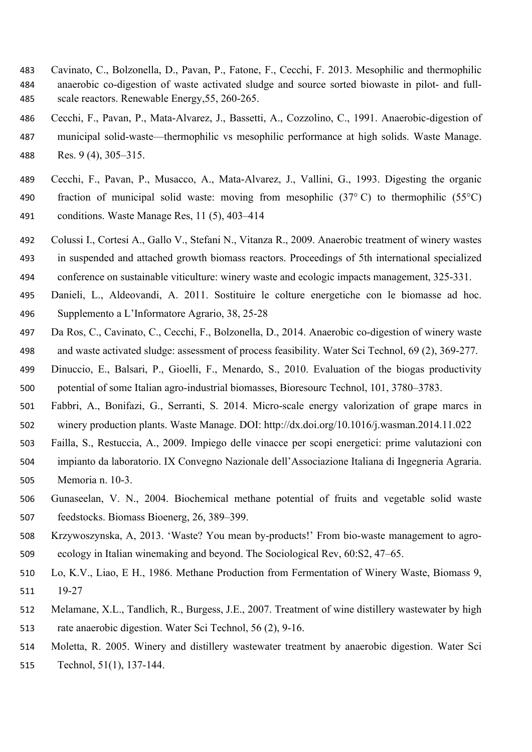- Cavinato, C., Bolzonella, D., Pavan, P., Fatone, F., Cecchi, F. 2013. Mesophilic and thermophilic anaerobic co-digestion of waste activated sludge and source sorted biowaste in pilot- and full-scale reactors. Renewable Energy,55, 260-265.
- Cecchi, F., Pavan, P., Mata-Alvarez, J., Bassetti, A., Cozzolino, C., 1991. Anaerobic-digestion of municipal solid-waste—thermophilic vs mesophilic performance at high solids. Waste Manage. Res. 9 (4), 305–315.
- Cecchi, F., Pavan, P., Musacco, A., Mata-Alvarez, J., Vallini, G., 1993. Digesting the organic fraction of municipal solid waste: moving from mesophilic (37° C) to thermophilic (55°C) conditions. Waste Manage Res, 11 (5), 403–414
- Colussi I., Cortesi A., Gallo V., Stefani N., Vitanza R., 2009. Anaerobic treatment of winery wastes in suspended and attached growth biomass reactors. Proceedings of 5th international specialized conference on sustainable viticulture: winery waste and ecologic impacts management, 325-331.
- 
- Danieli, L., Aldeovandi, A. 2011. Sostituire le colture energetiche con le biomasse ad hoc. Supplemento a L'Informatore Agrario, 38, 25-28
- Da Ros, C., Cavinato, C., Cecchi, F., Bolzonella, D., 2014. Anaerobic co-digestion of winery waste and waste activated sludge: assessment of process feasibility. Water Sci Technol, 69 (2), 369-277.
- Dinuccio, E., Balsari, P., Gioelli, F., Menardo, S., 2010. Evaluation of the biogas productivity potential of some Italian agro-industrial biomasses, Bioresourc Technol, 101, 3780–3783.
- Fabbri, A., Bonifazi, G., Serranti, S. 2014. Micro-scale energy valorization of grape marcs in winery production plants. Waste Manage. DOI: http://dx.doi.org/10.1016/j.wasman.2014.11.022
- Failla, S., Restuccia, A., 2009. Impiego delle vinacce per scopi energetici: prime valutazioni con
- impianto da laboratorio. IX Convegno Nazionale dell'Associazione Italiana di Ingegneria Agraria. Memoria n. 10-3.
- Gunaseelan, V. N., 2004. Biochemical methane potential of fruits and vegetable solid waste feedstocks. Biomass Bioenerg, 26, 389–399.
- Krzywoszynska, A, 2013. 'Waste? You mean by-products!' From bio-waste management to agro-ecology in Italian winemaking and beyond. The Sociological Rev, 60:S2, 47–65.
- Lo, K.V., Liao, E H., 1986. Methane Production from Fermentation of Winery Waste, Biomass 9, 19-27
- Melamane, X.L., Tandlich, R., Burgess, J.E., 2007. Treatment of wine distillery wastewater by high rate anaerobic digestion. Water Sci Technol, 56 (2), 9-16.
- Moletta, R. 2005. Winery and distillery wastewater treatment by anaerobic digestion. Water Sci
- Technol, 51(1), 137-144.